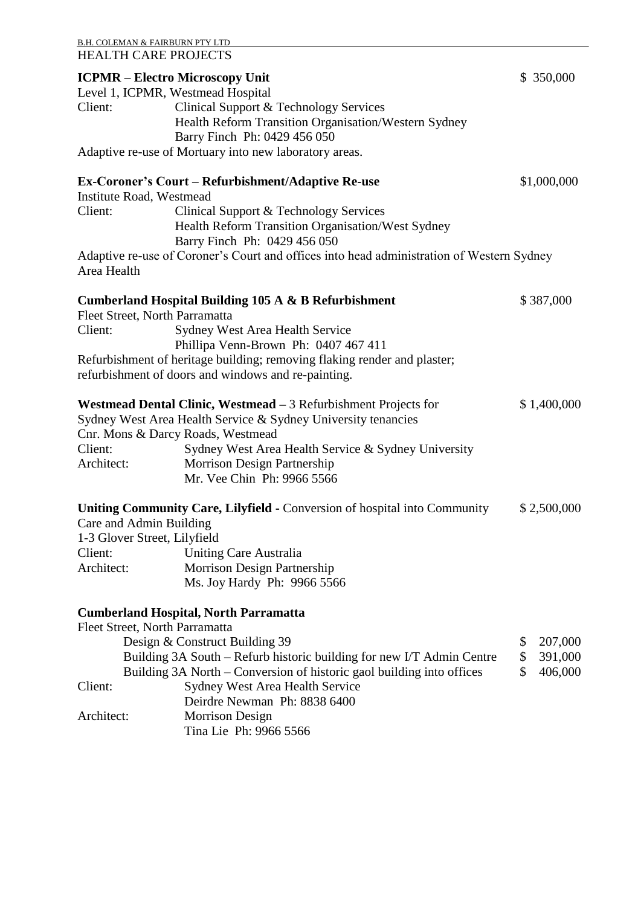|                                 | <u>B.H. COLEMAN &amp; FAIRBURN PTY LTD</u>                                                                                                                                                                                                                                                |               |
|---------------------------------|-------------------------------------------------------------------------------------------------------------------------------------------------------------------------------------------------------------------------------------------------------------------------------------------|---------------|
|                                 | <b>HEALTH CARE PROJECTS</b>                                                                                                                                                                                                                                                               |               |
|                                 | <b>ICPMR – Electro Microscopy Unit</b>                                                                                                                                                                                                                                                    | \$ 350,000    |
|                                 | Level 1, ICPMR, Westmead Hospital                                                                                                                                                                                                                                                         |               |
| Client:                         | Clinical Support & Technology Services                                                                                                                                                                                                                                                    |               |
|                                 | Health Reform Transition Organisation/Western Sydney                                                                                                                                                                                                                                      |               |
|                                 | Barry Finch Ph: 0429 456 050                                                                                                                                                                                                                                                              |               |
|                                 | Adaptive re-use of Mortuary into new laboratory areas.                                                                                                                                                                                                                                    |               |
|                                 | Ex-Coroner's Court – Refurbishment/Adaptive Re-use                                                                                                                                                                                                                                        | \$1,000,000   |
| <b>Institute Road, Westmead</b> |                                                                                                                                                                                                                                                                                           |               |
| Client:                         | Clinical Support & Technology Services                                                                                                                                                                                                                                                    |               |
|                                 | Health Reform Transition Organisation/West Sydney                                                                                                                                                                                                                                         |               |
|                                 | Barry Finch Ph: 0429 456 050                                                                                                                                                                                                                                                              |               |
| Area Health                     | Adaptive re-use of Coroner's Court and offices into head administration of Western Sydney                                                                                                                                                                                                 |               |
|                                 | Cumberland Hospital Building 105 A & B Refurbishment                                                                                                                                                                                                                                      | \$387,000     |
|                                 | Fleet Street, North Parramatta                                                                                                                                                                                                                                                            |               |
| Client:                         | Sydney West Area Health Service                                                                                                                                                                                                                                                           |               |
|                                 | Phillipa Venn-Brown Ph: 0407 467 411                                                                                                                                                                                                                                                      |               |
|                                 | Refurbishment of heritage building; removing flaking render and plaster;                                                                                                                                                                                                                  |               |
|                                 | refurbishment of doors and windows and re-painting.                                                                                                                                                                                                                                       |               |
| Client:<br>Architect:           | Westmead Dental Clinic, Westmead - 3 Refurbishment Projects for<br>Sydney West Area Health Service & Sydney University tenancies<br>Cnr. Mons & Darcy Roads, Westmead<br>Sydney West Area Health Service & Sydney University<br>Morrison Design Partnership<br>Mr. Vee Chin Ph: 9966 5566 | \$1,400,000   |
|                                 | Uniting Community Care, Lilyfield - Conversion of hospital into Community                                                                                                                                                                                                                 | \$2,500,000   |
| Care and Admin Building         |                                                                                                                                                                                                                                                                                           |               |
| 1-3 Glover Street, Lilyfield    |                                                                                                                                                                                                                                                                                           |               |
| Client:                         | <b>Uniting Care Australia</b>                                                                                                                                                                                                                                                             |               |
| Architect:                      | Morrison Design Partnership                                                                                                                                                                                                                                                               |               |
|                                 | Ms. Joy Hardy Ph: 9966 5566                                                                                                                                                                                                                                                               |               |
|                                 | <b>Cumberland Hospital, North Parramatta</b>                                                                                                                                                                                                                                              |               |
|                                 | Fleet Street, North Parramatta                                                                                                                                                                                                                                                            |               |
|                                 | Design & Construct Building 39                                                                                                                                                                                                                                                            | 207,000<br>\$ |
|                                 | Building 3A South – Refurb historic building for new I/T Admin Centre                                                                                                                                                                                                                     | \$<br>391,000 |
|                                 | Building 3A North – Conversion of historic gaol building into offices                                                                                                                                                                                                                     | \$<br>406,000 |
| Client:                         | Sydney West Area Health Service                                                                                                                                                                                                                                                           |               |
|                                 | Deirdre Newman Ph: 8838 6400                                                                                                                                                                                                                                                              |               |
| Architect:                      | <b>Morrison Design</b>                                                                                                                                                                                                                                                                    |               |
|                                 | Tina Lie Ph: 9966 5566                                                                                                                                                                                                                                                                    |               |